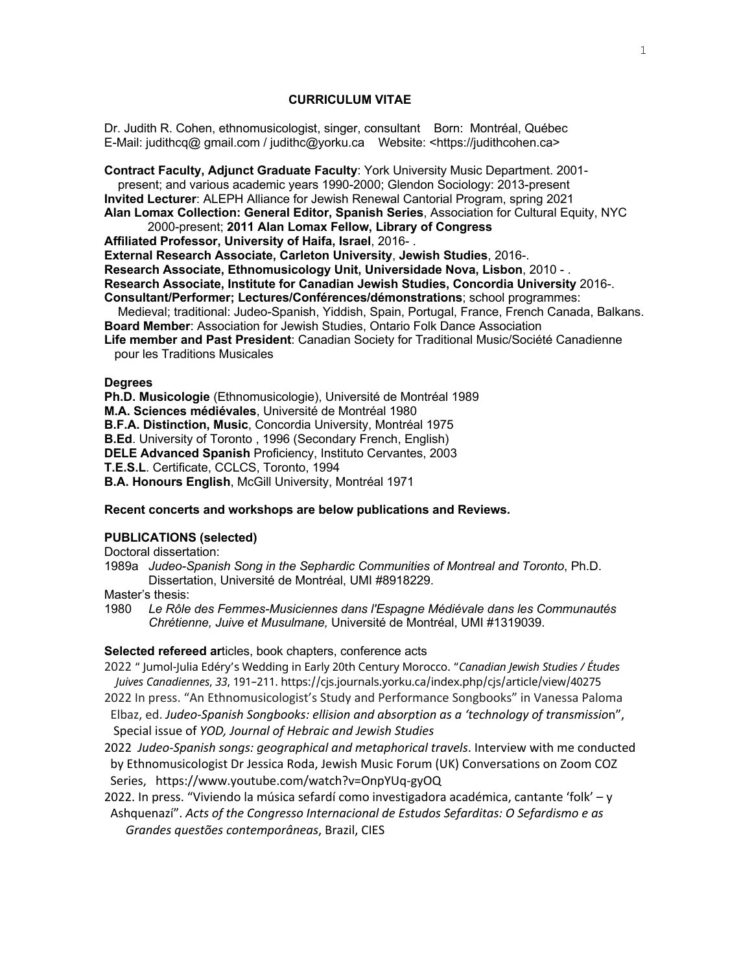## **CURRICULUM VITAE**

Dr. Judith R. Cohen, ethnomusicologist, singer, consultant Born: Montréal, Québec E-Mail: judithcq@ gmail.com / judithc@yorku.ca Website: <https://judithcohen.ca>

**Contract Faculty, Adjunct Graduate Faculty**: York University Music Department. 2001 present; and various academic years 1990-2000; Glendon Sociology: 2013-present **Invited Lecturer**: ALEPH Alliance for Jewish Renewal Cantorial Program, spring 2021 **Alan Lomax Collection: General Editor, Spanish Series**, Association for Cultural Equity, NYC 2000-present; **2011 Alan Lomax Fellow, Library of Congress Affiliated Professor, University of Haifa, Israel**, 2016- .

**External Research Associate, Carleton University**, **Jewish Studies**, 2016-.

**Research Associate, Ethnomusicology Unit, Universidade Nova, Lisbon**, 2010 - .

**Research Associate, Institute for Canadian Jewish Studies, Concordia University** 2016-.

**Consultant/Performer; Lectures/Conférences/démonstrations**; school programmes:

 Medieval; traditional: Judeo-Spanish, Yiddish, Spain, Portugal, France, French Canada, Balkans. **Board Member**: Association for Jewish Studies, Ontario Folk Dance Association

**Life member and Past President**: Canadian Society for Traditional Music/Société Canadienne pour les Traditions Musicales

### **Degrees**

**Ph.D. Musicologie** (Ethnomusicologie), Université de Montréal 1989 **M.A. Sciences médiévales**, Université de Montréal 1980 **B.F.A. Distinction, Music**, Concordia University, Montréal 1975 **B.Ed**. University of Toronto , 1996 (Secondary French, English) **DELE Advanced Spanish** Proficiency, Instituto Cervantes, 2003 **T.E.S.L**. Certificate, CCLCS, Toronto, 1994 **B.A. Honours English**, McGill University, Montréal 1971

# **Recent concerts and workshops are below publications and Reviews.**

#### **PUBLICATIONS (selected)**

Doctoral dissertation:

1989a *Judeo-Spanish Song in the Sephardic Communities of Montreal and Toronto*, Ph.D. Dissertation, Université de Montréal, UMI #8918229.

Master's thesis:

1980 *Le Rôle des Femmes-Musiciennes dans l'Espagne Médiévale dans les Communautés Chrétienne, Juive et Musulmane,* Université de Montréal, UMI #1319039.

## **Selected refereed ar**ticles, book chapters, conference acts

2022 " Jumol-Julia Edéry's Wedding in Early 20th Century Morocco. "*Canadian Jewish Studies / Études Juives Canadiennes*, *33*, 191–211. https://cjs.journals.yorku.ca/index.php/cjs/article/view/40275

- 2022 In press. "An Ethnomusicologist's Study and Performance Songbooks" in Vanessa Paloma Elbaz, ed. *Judeo-Spanish Songbooks: ellision and absorption as a 'technology of transmissio*n", Special issue of *YOD, Journal of Hebraic and Jewish Studies*
- 2022 *Judeo-Spanish songs: geographical and metaphorical travels*. Interview with me conducted by Ethnomusicologist Dr Jessica Roda, Jewish Music Forum (UK) Conversations on Zoom COZ Series, https://www.youtube.com/watch?v=OnpYUq-gyOQ
- 2022. In press. "Viviendo la música sefardí como investigadora académica, cantante 'folk' y Ashquenazí". *Acts of the Congresso Internacional de Estudos Sefarditas: O Sefardismo e as Grandes questões contemporâneas*, Brazil, CIES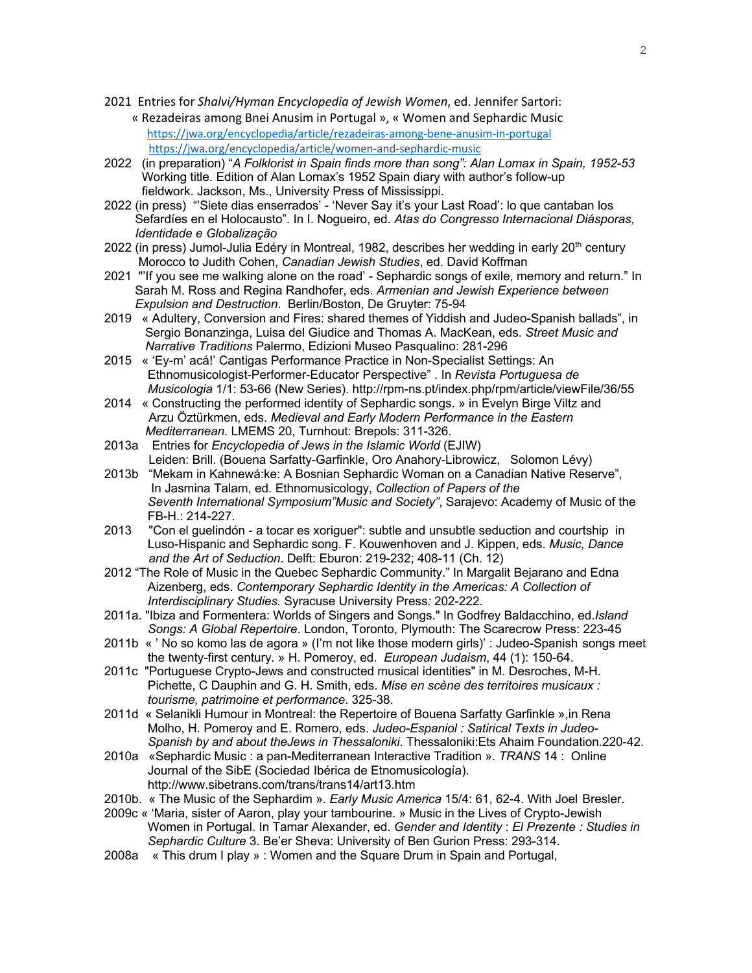- 2021 Entries for *Shalvi/Hyman Encyclopedia of Jewish Women*, ed. Jennifer Sartori:
	- « Rezadeiras among Bnei Anusim in Portugal », « Women and Sephardic Music https://jwa.org/encyclopedia/article/rezadeiras-among-bene-anusim-in-portugal https://jwa.org/encyclopedia/article/women-and-sephardic-music
- 2022 (in preparation) "*A Folklorist in Spain finds more than song": Alan Lomax in Spain, 1952-53* Working title. Edition of Alan Lomax's 1952 Spain diary with author's follow-up fieldwork. Jackson, Ms., University Press of Mississippi.
- 2022 (in press) "'Siete dias enserrados' 'Never Say it's your Last Road': lo que cantaban los Sefardíes en el Holocausto". In I. Nogueiro, ed. *Atas do Congresso Internacional Diásporas, Identidade e Globalização*
- 2022 (in press) Jumol-Julia Edéry in Montreal, 1982, describes her wedding in early 20<sup>th</sup> century Morocco to Judith Cohen, *Canadian Jewish Studies*, ed. David Koffman
- 2021 "'If you see me walking alone on the road' Sephardic songs of exile, memory and return." In Sarah M. Ross and Regina Randhofer, eds. *Armenian and Jewish Experience between Expulsion and Destruction*. Berlin/Boston, De Gruyter: 75-94
- 2019 « Adultery, Conversion and Fires: shared themes of Yiddish and Judeo-Spanish ballads", in Sergio Bonanzinga, Luisa del Giudice and Thomas A. MacKean, eds. *Street Music and Narrative Traditions* Palermo, Edizioni Museo Pasqualino: 281-296
- 2015 « 'Ey-m' acá!' Cantigas Performance Practice in Non-Specialist Settings: An Ethnomusicologist-Performer-Educator Perspective" . In *Revista Portuguesa de Musicologia* 1/1: 53-66 (New Series). http://rpm-ns.pt/index.php/rpm/article/viewFile/36/55
- 2014 « Constructing the performed identity of Sephardic songs. » in Evelyn Birge Viltz and Arzu Öztürkmen, eds. *Medieval and Early Modern Performance in the Eastern Mediterranean*. LMEMS 20, Turnhout: Brepols: 311-326.
- 2013a Entries for *Encyclopedia of Jews in the Islamic World* (EJIW) Leiden: Brill. (Bouena Sarfatty-Garfinkle, Oro Anahory-Librowicz, Solomon Lévy)
- 2013b "Mekam in Kahnewá:ke: A Bosnian Sephardic Woman on a Canadian Native Reserve", In Jasmina Talam, ed. Ethnomusicology, *Collection of Papers of the Seventh International Symposium"Music and Society"*, Sarajevo: Academy of Music of the FB-H.: 214-227.
- 2013 "Con el guelindón a tocar es xoriguer": subtle and unsubtle seduction and courtship in Luso-Hispanic and Sephardic song. F. Kouwenhoven and J. Kippen, eds. *Music, Dance and the Art of Seduction*. Delft: Eburon: 219-232; 408-11 (Ch. 12)
- 2012 "The Role of Music in the Quebec Sephardic Community." In Margalit Bejarano and Edna Aizenberg, eds. *Contemporary Sephardic Identity in the Americas: A Collection of Interdisciplinary Studies.* Syracuse University Press*:* 202-222.
- 2011a. "Ibiza and Formentera: Worlds of Singers and Songs." In Godfrey Baldacchino, ed.*Island Songs: A Global Repertoire*. London, Toronto, Plymouth: The Scarecrow Press: 223-45
- 2011b « ' No so komo las de agora » (I'm not like those modern girls)' : Judeo-Spanish songs meet the twenty-first century. » H. Pomeroy, ed. *European Judaism*, 44 (1): 150-64.
- 2011c "Portuguese Crypto-Jews and constructed musical identities" in M. Desroches, M-H. Pichette, C Dauphin and G. H. Smith, eds. *Mise en scène des territoires musicaux : tourisme, patrimoine et performance*. 325-38.
- 2011d « Selanikli Humour in Montreal: the Repertoire of Bouena Sarfatty Garfinkle »,in Rena Molho, H. Pomeroy and E. Romero, eds. *Judeo-Espaniol : Satirical Texts in Judeo-Spanish by and about theJews in Thessaloniki*. Thessaloniki:Ets Ahaim Foundation.220-42.
- 2010a «Sephardic Music : a pan-Mediterranean Interactive Tradition ». *TRANS* 14 : Online Journal of the SibE (Sociedad Ibérica de Etnomusicología). http://www.sibetrans.com/trans/trans14/art13.htm
- 2010b. « The Music of the Sephardim ». *Early Music America* 15/4: 61, 62-4. With Joel Bresler.
- 2009c « 'Maria, sister of Aaron, play your tambourine. » Music in the Lives of Crypto-Jewish Women in Portugal. In Tamar Alexander, ed. *Gender and Identity* : *El Prezente : Studies in Sephardic Culture* 3. Be'er Sheva: University of Ben Gurion Press: 293-314.
- 2008a « This drum I play » : Women and the Square Drum in Spain and Portugal,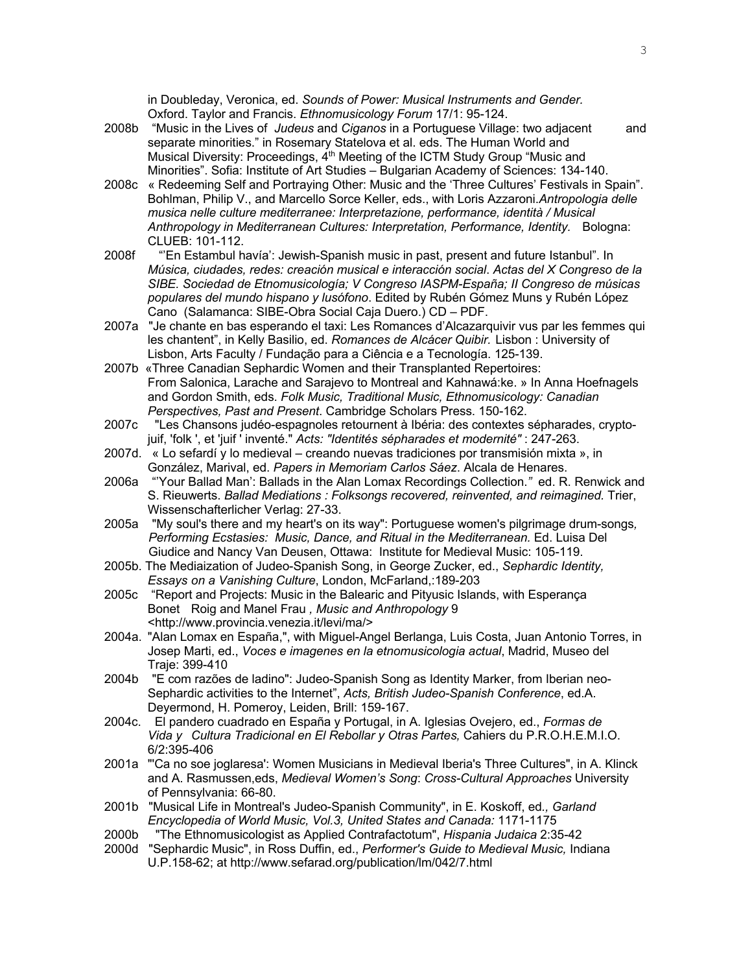in Doubleday, Veronica, ed. *Sounds of Power: Musical Instruments and Gender.*  Oxford. Taylor and Francis. *Ethnomusicology Forum* 17/1: 95-124.

- 2008b "Music in the Lives of *Judeus* and *Ciganos* in a Portuguese Village: two adjacent and separate minorities." in Rosemary Statelova et al. eds. The Human World and Musical Diversity: Proceedings, 4<sup>th</sup> Meeting of the ICTM Study Group "Music and Minorities". Sofia: Institute of Art Studies – Bulgarian Academy of Sciences: 134-140.
- 2008c « Redeeming Self and Portraying Other: Music and the 'Three Cultures' Festivals in Spain". Bohlman, Philip V., and Marcello Sorce Keller, eds., with Loris Azzaroni.*Antropologia delle musica nelle culture mediterranee: Interpretazione, performance, identità / Musical Anthropology in Mediterranean Cultures: Interpretation, Performance, Identity.* Bologna: CLUEB: 101-112.
- 2008f "'En Estambul havía': Jewish-Spanish music in past, present and future Istanbul". In *Música, ciudades, redes: creación musical e interacción social*. *Actas del X Congreso de la SIBE. Sociedad de Etnomusicología; V Congreso IASPM-España; II Congreso de músicas populares del mundo hispano y lusófono*. Edited by Rubén Gómez Muns y Rubén López Cano (Salamanca: SIBE-Obra Social Caja Duero.) CD – PDF.
- 2007a "Je chante en bas esperando el taxi: Les Romances d'Alcazarquivir vus par les femmes qui les chantent", in Kelly Basilio, ed. *Romances de Alcácer Quibir.* Lisbon : University of Lisbon, Arts Faculty / Fundação para a Ciência e a Tecnología. 125-139.
- 2007b «Three Canadian Sephardic Women and their Transplanted Repertoires: From Salonica, Larache and Sarajevo to Montreal and Kahnawá:ke. » In Anna Hoefnagels and Gordon Smith, eds. *Folk Music, Traditional Music, Ethnomusicology: Canadian Perspectives, Past and Present*. Cambridge Scholars Press. 150-162.
- 2007c "Les Chansons judéo-espagnoles retournent à Ibéria: des contextes sépharades, cryptojuif, 'folk ', et 'juif ' inventé." *Acts: "Identités sépharades et modernité"* : 247-263.
- 2007d. « Lo sefardí y lo medieval creando nuevas tradiciones por transmisión mixta », in González, Marival, ed. *Papers in Memoriam Carlos Sáez*. Alcala de Henares.
- 2006a "'Your Ballad Man': Ballads in the Alan Lomax Recordings Collection.*"* ed. R. Renwick and S. Rieuwerts. *Ballad Mediations : Folksongs recovered, reinvented, and reimagined.* Trier, Wissenschafterlicher Verlag: 27-33.
- 2005a "My soul's there and my heart's on its way": Portuguese women's pilgrimage drum-songs*, Performing Ecstasies: Music, Dance, and Ritual in the Mediterranean.* Ed. Luisa Del Giudice and Nancy Van Deusen, Ottawa: Institute for Medieval Music: 105-119.
- 2005b. The Mediaization of Judeo-Spanish Song, in George Zucker, ed., *Sephardic Identity, Essays on a Vanishing Culture*, London, McFarland,:189-203
- 2005c "Report and Projects: Music in the Balearic and Pityusic Islands, with Esperança Bonet Roig and Manel Frau *, Music and Anthropology* 9 <http://www.provincia.venezia.it/levi/ma/>
- 2004a. "Alan Lomax en España,", with Miguel-Angel Berlanga, Luis Costa, Juan Antonio Torres, in Josep Marti, ed., *Voces e imagenes en la etnomusicologia actual*, Madrid, Museo del Traje: 399-410
- 2004b "E com razões de ladino": Judeo-Spanish Song as Identity Marker, from Iberian neo-Sephardic activities to the Internet", *Acts, British Judeo-Spanish Conference*, ed.A. Deyermond, H. Pomeroy, Leiden, Brill: 159-167.
- 2004c. El pandero cuadrado en España y Portugal, in A. Iglesias Ovejero, ed., *Formas de Vida y Cultura Tradicional en El Rebollar y Otras Partes,* Cahiers du P.R.O.H.E.M.I.O. 6/2:395-406
- 2001a "'Ca no soe joglaresa': Women Musicians in Medieval Iberia's Three Cultures", in A. Klinck and A. Rasmussen,eds, *Medieval Women's Song*: *Cross-Cultural Approaches* University of Pennsylvania: 66-80.
- 2001b "Musical Life in Montreal's Judeo-Spanish Community", in E. Koskoff, ed*., Garland Encyclopedia of World Music, Vol.3, United States and Canada:* 1171-1175
- 2000b "The Ethnomusicologist as Applied Contrafactotum", *Hispania Judaica* 2:35-42
- 2000d "Sephardic Music", in Ross Duffin, ed., *Performer's Guide to Medieval Music,* Indiana U.P.158-62; at http://www.sefarad.org/publication/lm/042/7.html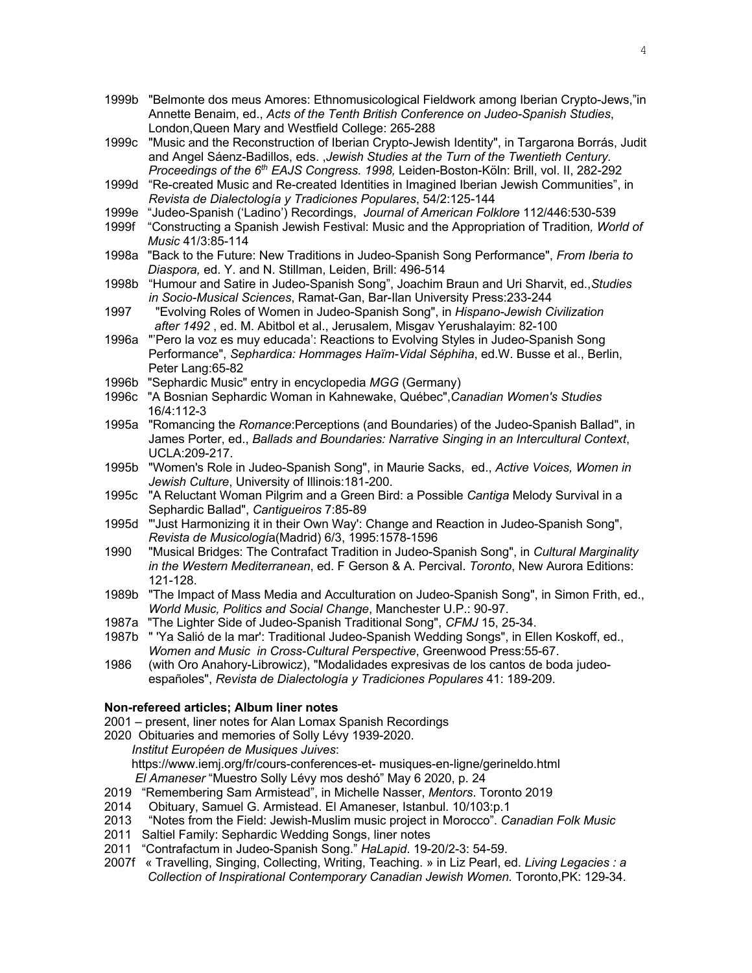- 1999b "Belmonte dos meus Amores: Ethnomusicological Fieldwork among Iberian Crypto-Jews,"in Annette Benaim, ed., *Acts of the Tenth British Conference on Judeo-Spanish Studies*, London,Queen Mary and Westfield College: 265-288
- 1999c "Music and the Reconstruction of Iberian Crypto-Jewish Identity", in Targarona Borrás, Judit and Angel Sáenz-Badillos, eds. ,*Jewish Studies at the Turn of the Twentieth Century. Proceedings of the 6th EAJS Congress. 1998,* Leiden-Boston-Köln: Brill, vol. II, 282-292
- 1999d "Re-created Music and Re-created Identities in Imagined Iberian Jewish Communities", in *Revista de Dialectología y Tradiciones Populares*, 54/2:125-144
- 1999e "Judeo-Spanish ('Ladino') Recordings, *Journal of American Folklore* 112/446:530-539
- 1999f "Constructing a Spanish Jewish Festival: Music and the Appropriation of Tradition*, World of Music* 41/3:85-114
- 1998a "Back to the Future: New Traditions in Judeo-Spanish Song Performance", *From Iberia to Diaspora,* ed. Y. and N. Stillman, Leiden, Brill: 496-514
- 1998b "Humour and Satire in Judeo-Spanish Song", Joachim Braun and Uri Sharvit, ed.,*Studies in Socio-Musical Sciences*, Ramat-Gan, Bar-Ilan University Press:233-244
- 1997 "Evolving Roles of Women in Judeo-Spanish Song", in *Hispano-Jewish Civilization after 1492* , ed. M. Abitbol et al., Jerusalem, Misgav Yerushalayim: 82-100
- 1996a "'Pero la voz es muy educada': Reactions to Evolving Styles in Judeo-Spanish Song Performance", *Sephardica: Hommages Haïm-Vidal Séphiha*, ed.W. Busse et al., Berlin, Peter Lang:65-82
- 1996b "Sephardic Music" entry in encyclopedia *MGG* (Germany)
- 1996c "A Bosnian Sephardic Woman in Kahnewake, Québec",*Canadian Women's Studies* 16/4:112-3
- 1995a "Romancing the *Romance*:Perceptions (and Boundaries) of the Judeo-Spanish Ballad", in James Porter, ed., *Ballads and Boundaries: Narrative Singing in an Intercultural Context*, UCLA:209-217.
- 1995b "Women's Role in Judeo-Spanish Song", in Maurie Sacks, ed., *Active Voices, Women in Jewish Culture*, University of Illinois:181-200.
- 1995c "A Reluctant Woman Pilgrim and a Green Bird: a Possible *Cantiga* Melody Survival in a Sephardic Ballad", *Cantigueiros* 7:85-89
- 1995d "'Just Harmonizing it in their Own Way': Change and Reaction in Judeo-Spanish Song", *Revista de Musicologí*a(Madrid) 6/3, 1995:1578-1596
- 1990 "Musical Bridges: The Contrafact Tradition in Judeo-Spanish Song", in *Cultural Marginality in the Western Mediterranean*, ed. F Gerson & A. Percival. *Toronto*, New Aurora Editions: 121-128.
- 1989b "The Impact of Mass Media and Acculturation on Judeo-Spanish Song", in Simon Frith, ed., *World Music, Politics and Social Change*, Manchester U.P.: 90-97.
- 1987a "The Lighter Side of Judeo-Spanish Traditional Song", *CFMJ* 15, 25-34.
- 1987b " 'Ya Salió de la mar': Traditional Judeo-Spanish Wedding Songs", in Ellen Koskoff, ed., *Women and Music in Cross-Cultural Perspective*, Greenwood Press:55-67.
- 1986 (with Oro Anahory-Librowicz), "Modalidades expresivas de los cantos de boda judeoespañoles", *Revista de Dialectología y Tradiciones Populares* 41: 189-209.

### **Non-refereed articles; Album liner notes**

- 2001 present, liner notes for Alan Lomax Spanish Recordings
- 2020 Obituaries and memories of Solly Lévy 1939-2020.
	- *Institut Européen de Musiques Juives*: https://www.iemj.org/fr/cours-conferences-et- musiques-en-ligne/gerineldo.html *El Amaneser* "Muestro Solly Lévy mos deshó" May 6 2020, p. 24
- 2019 "Remembering Sam Armistead", in Michelle Nasser, *Mentors*. Toronto 2019
- 2014 Obituary, Samuel G. Armistead. El Amaneser, Istanbul. 10/103:p.1
- 2013 "Notes from the Field: Jewish-Muslim music project in Morocco". *Canadian Folk Music*
- 2011 Saltiel Family: Sephardic Wedding Songs, liner notes
- 2011 "Contrafactum in Judeo-Spanish Song." *HaLapid*. 19-20/2-3: 54-59.
- 2007f « Travelling, Singing, Collecting, Writing, Teaching. » in Liz Pearl, ed. *Living Legacies : a Collection of Inspirational Contemporary Canadian Jewish Women.* Toronto,PK: 129-34.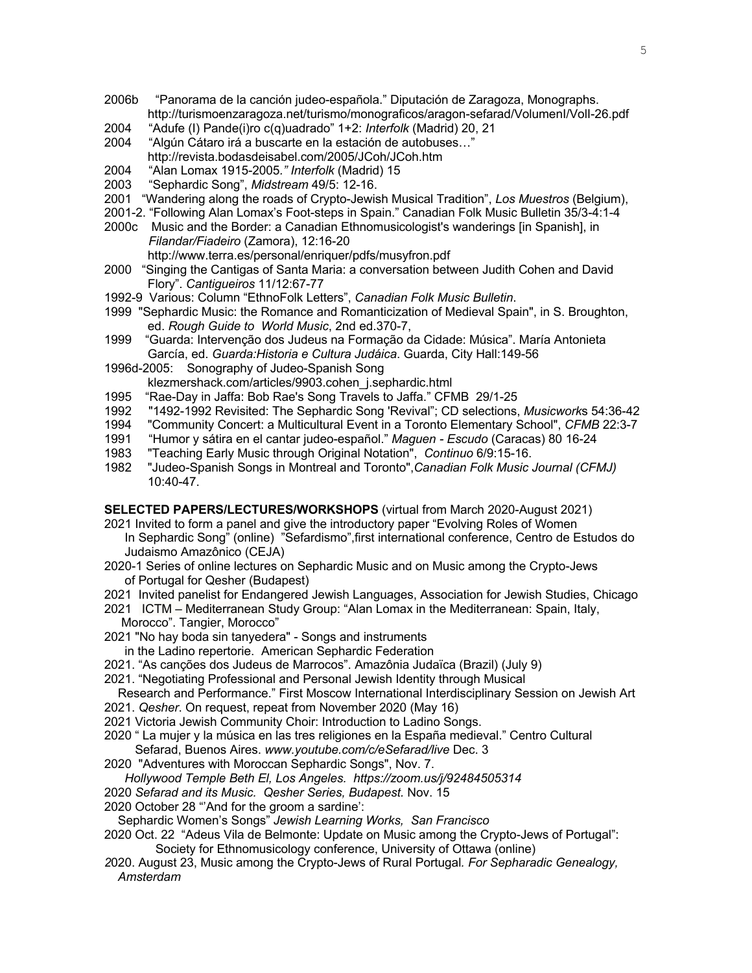- 2006b "Panorama de la canción judeo-española." Diputación de Zaragoza, Monographs. http://turismoenzaragoza.net/turismo/monograficos/aragon-sefarad/VolumenI/VolI-26.pdf
- 2004 "Adufe (I) Pande(i)ro c(q)uadrado" 1+2: *Interfolk* (Madrid) 20, 21
- 2004 "Algún Cátaro irá a buscarte en la estación de autobuses…" http://revista.bodasdeisabel.com/2005/JCoh/JCoh.htm
- 2004 "Alan Lomax 1915-2005*." Interfolk* (Madrid) 15
- 2003 "Sephardic Song", *Midstream* 49/5: 12-16.
- 2001 "Wandering along the roads of Crypto-Jewish Musical Tradition", *Los Muestros* (Belgium),
- 2001-2. "Following Alan Lomax's Foot-steps in Spain." Canadian Folk Music Bulletin 35/3-4:1-4 2000c Music and the Border: a Canadian Ethnomusicologist's wanderings [in Spanish], in
- *Filandar/Fiadeiro* (Zamora), 12:16-20 http://www.terra.es/personal/enriquer/pdfs/musyfron.pdf
- 2000 "Singing the Cantigas of Santa Maria: a conversation between Judith Cohen and David Flory". *Cantigueiros* 11/12:67-77
- 1992-9 Various: Column "EthnoFolk Letters", *Canadian Folk Music Bulletin*.
- 1999 "Sephardic Music: the Romance and Romanticization of Medieval Spain", in S. Broughton, ed. *Rough Guide to World Music*, 2nd ed.370-7,
- 1999 "Guarda: Intervenção dos Judeus na Formação da Cidade: Música". María Antonieta García, ed. *Guarda:Historia e Cultura Judáica*. Guarda, City Hall:149-56
- 1996d-2005: Sonography of Judeo-Spanish Song klezmershack.com/articles/9903.cohen\_j.sephardic.html
- 1995 "Rae-Day in Jaffa: Bob Rae's Song Travels to Jaffa." CFMB 29/1-25
- 1992 "1492-1992 Revisited: The Sephardic Song 'Revival"; CD selections, *Musicwork*s 54:36-42
- 1994 "Community Concert: a Multicultural Event in a Toronto Elementary School", *CFMB* 22:3-7
- 1991 "Humor y sátira en el cantar judeo-español." *Maguen - Escudo* (Caracas) 80 16-24
- 1983 "Teaching Early Music through Original Notation", *Continuo* 6/9:15-16.
- 1982 "Judeo-Spanish Songs in Montreal and Toronto",*Canadian Folk Music Journal (CFMJ)* 10:40-47.

**SELECTED PAPERS/LECTURES/WORKSHOPS** (virtual from March 2020-August 2021)

- 2021 Invited to form a panel and give the introductory paper "Evolving Roles of Women In Sephardic Song" (online) "Sefardismo",first international conference, Centro de Estudos do Judaismo Amazônico (CEJA)
- 2020-1 Series of online lectures on Sephardic Music and on Music among the Crypto-Jews of Portugal for Qesher (Budapest)
- 2021 Invited panelist for Endangered Jewish Languages, Association for Jewish Studies, Chicago
- 2021 ICTM Mediterranean Study Group: "Alan Lomax in the Mediterranean: Spain, Italy, Morocco". Tangier, Morocco"
- 2021 "No hay boda sin tanyedera" Songs and instruments
	- in the Ladino repertorie. American Sephardic Federation
- 2021. "As canções dos Judeus de Marrocos". Amazônia Judaïca (Brazil) (July 9)
- 2021. "Negotiating Professional and Personal Jewish Identity through Musical
- Research and Performance." First Moscow International Interdisciplinary Session on Jewish Art 2021. *Qesher*. On request, repeat from November 2020 (May 16)
- 2021 Victoria Jewish Community Choir: Introduction to Ladino Songs.
- 2020 " La mujer y la música en las tres religiones en la España medieval." Centro Cultural Sefarad, Buenos Aires. *www.youtube.com/c/eSefarad/live* Dec. 3
- 2020 "Adventures with Moroccan Sephardic Songs", Nov. 7.
- *Hollywood Temple Beth El, Los Angeles. https://zoom.us/j/92484505314*
- 2020 *Sefarad and its Music. Qesher Series, Budapest.* Nov. 15
- 2020 October 28 "'And for the groom a sardine':
- Sephardic Women's Songs" *Jewish Learning Works, San Francisco*
- 2020 Oct. 22 "Adeus Vila de Belmonte: Update on Music among the Crypto-Jews of Portugal": Society for Ethnomusicology conference, University of Ottawa (online)
- *2*020. August 23, Music among the Crypto-Jews of Rural Portugal*. For Sepharadic Genealogy, Amsterdam*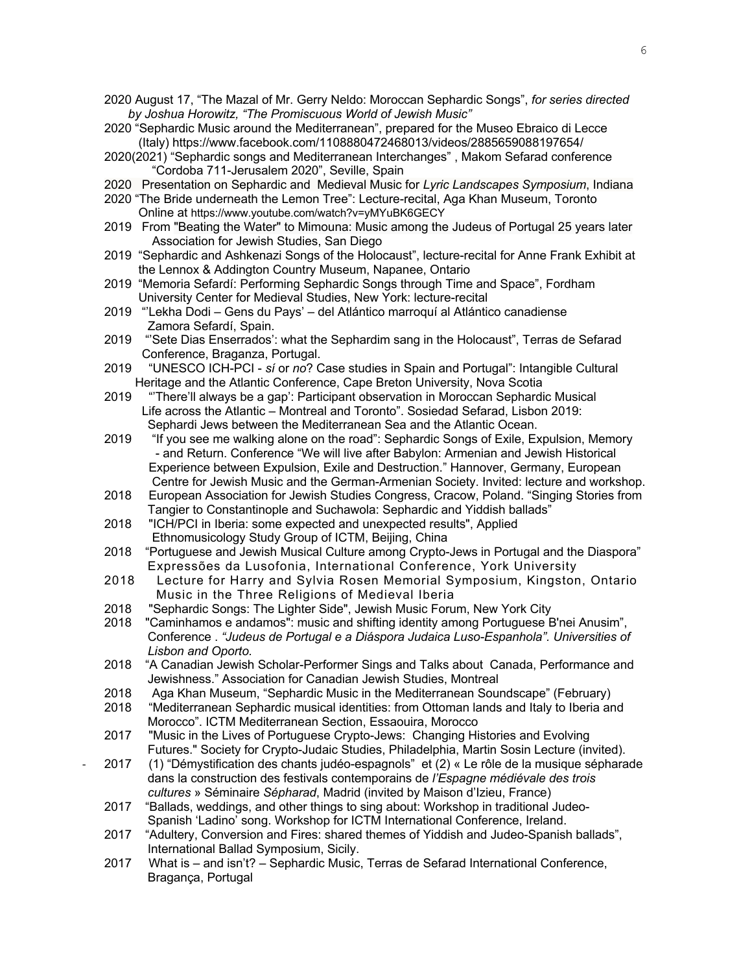- 2020 August 17, "The Mazal of Mr. Gerry Neldo: Moroccan Sephardic Songs", *for series directed by Joshua Horowitz, "The Promiscuous World of Jewish Music"*
- 2020 "Sephardic Music around the Mediterranean", prepared for the Museo Ebraico di Lecce (Italy) https://www.facebook.com/1108880472468013/videos/2885659088197654/
- 2020(2021) "Sephardic songs and Mediterranean Interchanges" , Makom Sefarad conference "Cordoba 711-Jerusalem 2020", Seville, Spain
- 2020 Presentation on Sephardic and Medieval Music for *Lyric Landscapes Symposium*, Indiana
- 2020 "The Bride underneath the Lemon Tree": Lecture-recital, Aga Khan Museum, Toronto Online at https://www.youtube.com/watch?v=yMYuBK6GECY
- 2019 From "Beating the Water" to Mimouna: Music among the Judeus of Portugal 25 years later Association for Jewish Studies, San Diego
- 2019 "Sephardic and Ashkenazi Songs of the Holocaust", lecture-recital for Anne Frank Exhibit at the Lennox & Addington Country Museum, Napanee, Ontario
- 2019 "Memoria Sefardí: Performing Sephardic Songs through Time and Space", Fordham University Center for Medieval Studies, New York: lecture-recital
- 2019 "'Lekha Dodi Gens du Pays' del Atlántico marroquí al Atlántico canadiense Zamora Sefardí, Spain.
- 2019 "'Sete Dias Enserrados': what the Sephardim sang in the Holocaust", Terras de Sefarad Conference, Braganza, Portugal.
- 2019 "UNESCO ICH-PCI *sí* or *no*? Case studies in Spain and Portugal": Intangible Cultural Heritage and the Atlantic Conference, Cape Breton University, Nova Scotia
- 2019 "'There'll always be a gap': Participant observation in Moroccan Sephardic Musical Life across the Atlantic – Montreal and Toronto". Sosiedad Sefarad, Lisbon 2019: Sephardi Jews between the Mediterranean Sea and the Atlantic Ocean.
- 2019 "If you see me walking alone on the road": Sephardic Songs of Exile, Expulsion, Memory - and Return. Conference "We will live after Babylon: Armenian and Jewish Historical Experience between Expulsion, Exile and Destruction." Hannover, Germany, European Centre for Jewish Music and the German-Armenian Society. Invited: lecture and workshop.
- 2018 European Association for Jewish Studies Congress, Cracow, Poland. "Singing Stories from Tangier to Constantinople and Suchawola: Sephardic and Yiddish ballads"
- 2018 "ICH/PCI in Iberia: some expected and unexpected results", Applied Ethnomusicology Study Group of ICTM, Beijing, China
- 2018 "Portuguese and Jewish Musical Culture among Crypto-Jews in Portugal and the Diaspora" Expressões da Lusofonia, International Conference, York University
- 2018 Lecture for Harry and Sylvia Rosen Memorial Symposium, Kingston, Ontario Music in the Three Religions of Medieval Iberia
- 2018 "Sephardic Songs: The Lighter Side", Jewish Music Forum, New York City
- 2018 "Caminhamos e andamos": music and shifting identity among Portuguese B'nei Anusim", Conference . *"Judeus de Portugal e a Diáspora Judaica Luso-Espanhola". Universities of Lisbon and Oporto.*
- 2018 "A Canadian Jewish Scholar-Performer Sings and Talks about Canada, Performance and Jewishness." Association for Canadian Jewish Studies, Montreal
- 2018 Aga Khan Museum, "Sephardic Music in the Mediterranean Soundscape" (February)
- 2018 "Mediterranean Sephardic musical identities: from Ottoman lands and Italy to Iberia and Morocco". ICTM Mediterranean Section, Essaouira, Morocco
- 2017 "Music in the Lives of Portuguese Crypto-Jews: Changing Histories and Evolving Futures." Society for Crypto-Judaic Studies, Philadelphia, Martin Sosin Lecture (invited).
- 2017 (1) "Démystification des chants judéo-espagnols" et (2) « Le rôle de la musique sépharade dans la construction des festivals contemporains de *l'Espagne médiévale des trois cultures* » Séminaire *Sépharad*, Madrid (invited by Maison d'Izieu, France)
- 2017 "Ballads, weddings, and other things to sing about: Workshop in traditional Judeo-Spanish 'Ladino' song. Workshop for ICTM International Conference, Ireland.
- 2017 "Adultery, Conversion and Fires: shared themes of Yiddish and Judeo-Spanish ballads", International Ballad Symposium, Sicily.
- 2017 What is and isn't? Sephardic Music, Terras de Sefarad International Conference, Bragança, Portugal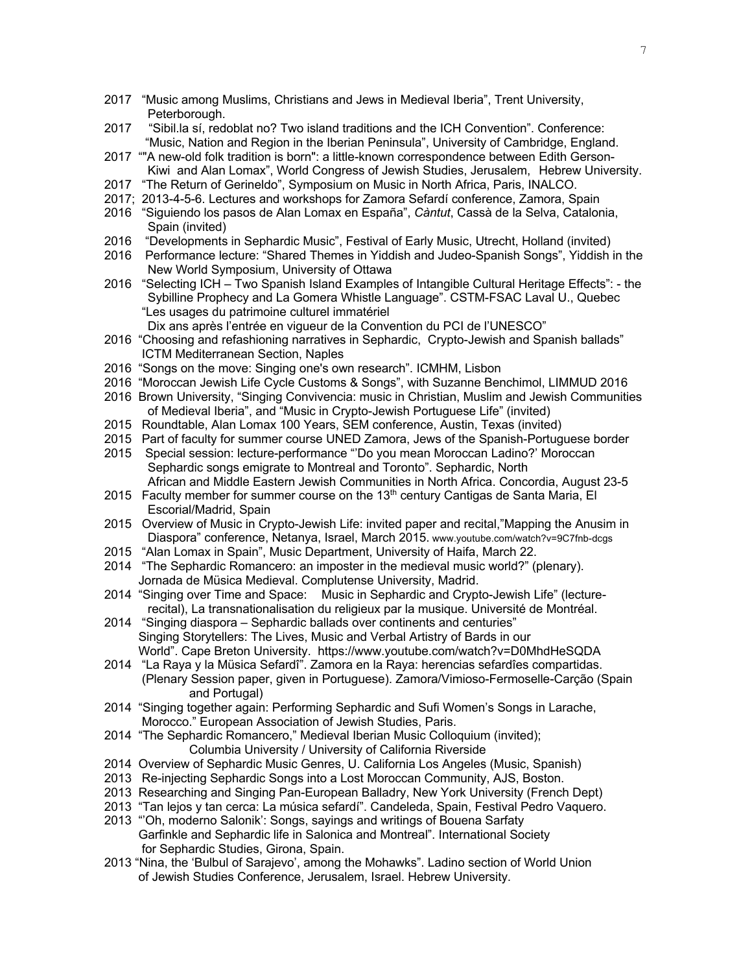- 2017 "Music among Muslims, Christians and Jews in Medieval Iberia", Trent University, Peterborough.
- 2017 "Sibil.la sí, redoblat no? Two island traditions and the ICH Convention". Conference: "Music, Nation and Region in the Iberian Peninsula", University of Cambridge, England.
- 2017 ""A new-old folk tradition is born": a little-known correspondence between Edith Gerson-Kiwi and Alan Lomax", World Congress of Jewish Studies, Jerusalem, Hebrew University.
- 2017 "The Return of Gerineldo", Symposium on Music in North Africa, Paris, INALCO.
- 2017; 2013-4-5-6. Lectures and workshops for Zamora Sefardí conference, Zamora, Spain
- 2016 "Siguiendo los pasos de Alan Lomax en España", *Càntut*, Cassà de la Selva, Catalonia, Spain (invited)
- 2016 "Developments in Sephardic Music", Festival of Early Music, Utrecht, Holland (invited)
- 2016 Performance lecture: "Shared Themes in Yiddish and Judeo-Spanish Songs", Yiddish in the New World Symposium, University of Ottawa
- 2016 "Selecting ICH Two Spanish Island Examples of Intangible Cultural Heritage Effects": the Sybilline Prophecy and La Gomera Whistle Language". CSTM-FSAC Laval U., Quebec "Les usages du patrimoine culturel immatériel
	- Dix ans après l'entrée en vigueur de la Convention du PCI de l'UNESCO"
- 2016 "Choosing and refashioning narratives in Sephardic, Crypto-Jewish and Spanish ballads" ICTM Mediterranean Section, Naples
- 2016 "Songs on the move: Singing one's own research". ICMHM, Lisbon
- 2016 "Moroccan Jewish Life Cycle Customs & Songs", with Suzanne Benchimol, LIMMUD 2016
- 2016 Brown University, "Singing Convivencia: music in Christian, Muslim and Jewish Communities of Medieval Iberia", and "Music in Crypto-Jewish Portuguese Life" (invited)
- 2015 Roundtable, Alan Lomax 100 Years, SEM conference, Austin, Texas (invited)
- 2015 Part of faculty for summer course UNED Zamora, Jews of the Spanish-Portuguese border
- 2015 Special session: lecture-performance "'Do you mean Moroccan Ladino?' Moroccan Sephardic songs emigrate to Montreal and Toronto". Sephardic, North African and Middle Eastern Jewish Communities in North Africa. Concordia, August 23-5
- 2015 Faculty member for summer course on the  $13<sup>th</sup>$  century Cantigas de Santa Maria, El Escorial/Madrid, Spain
- 2015 Overview of Music in Crypto-Jewish Life: invited paper and recital,"Mapping the Anusim in Diaspora" conference, Netanya, Israel, March 2015. www.youtube.com/watch?v=9C7fnb-dcgs
- 2015 "Alan Lomax in Spain", Music Department, University of Haifa, March 22.
- 2014 "The Sephardic Romancero: an imposter in the medieval music world?" (plenary). Jornada de Müsica Medieval. Complutense University, Madrid.
- 2014 "Singing over Time and Space: Music in Sephardic and Crypto-Jewish Life" (lecturerecital), La transnationalisation du religieux par la musique. Université de Montréal.
- 2014 "Singing diaspora Sephardic ballads over continents and centuries" Singing Storytellers: The Lives, Music and Verbal Artistry of Bards in our World". Cape Breton University. https://www.youtube.com/watch?v=D0MhdHeSQDA
- 2014 "La Raya y la Müsica Sefardî". Zamora en la Raya: herencias sefardîes compartidas. (Plenary Session paper, given in Portuguese). Zamora/Vimioso-Fermoselle-Carção (Spain and Portugal)
- 2014 "Singing together again: Performing Sephardic and Sufi Women's Songs in Larache, Morocco." European Association of Jewish Studies, Paris.
- 2014 "The Sephardic Romancero," Medieval Iberian Music Colloquium (invited); Columbia University / University of California Riverside
- 2014 Overview of Sephardic Music Genres, U. California Los Angeles (Music, Spanish)
- 2013 Re-injecting Sephardic Songs into a Lost Moroccan Community, AJS, Boston.
- 2013 Researching and Singing Pan-European Balladry, New York University (French Dept)
- 2013 "Tan lejos y tan cerca: La música sefardí". Candeleda, Spain, Festival Pedro Vaquero.
- 2013 "'Oh, moderno Salonik': Songs, sayings and writings of Bouena Sarfaty Garfinkle and Sephardic life in Salonica and Montreal". International Society for Sephardic Studies, Girona, Spain.
- 2013 "Nina, the 'Bulbul of Sarajevo', among the Mohawks". Ladino section of World Union of Jewish Studies Conference, Jerusalem, Israel. Hebrew University.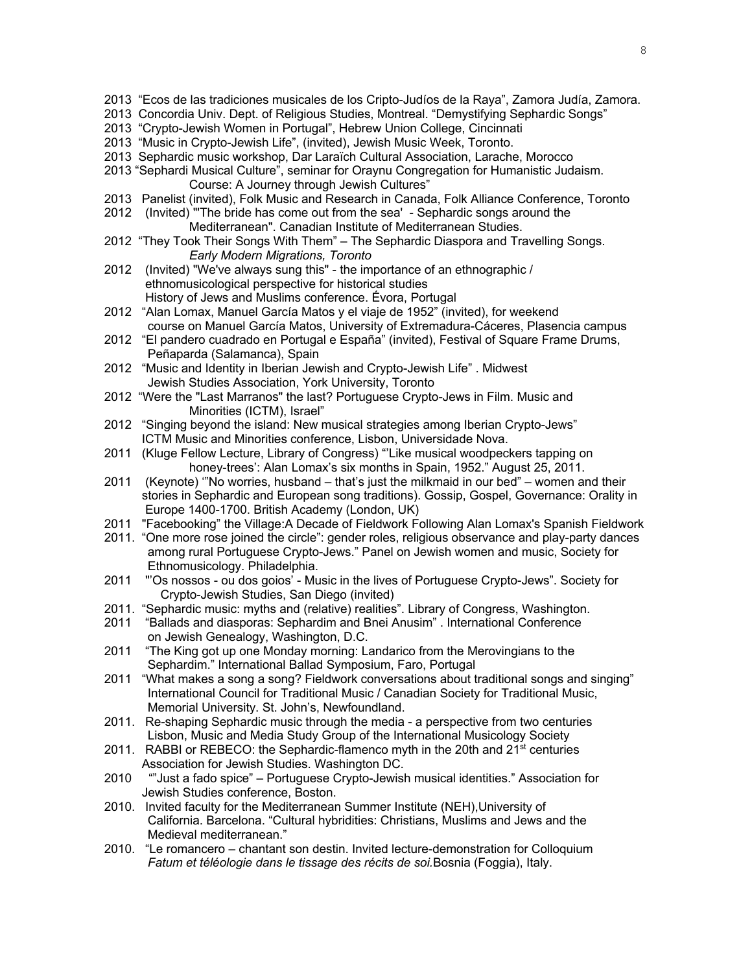- 2013 "Ecos de las tradiciones musicales de los Cripto-Judíos de la Raya", Zamora Judía, Zamora.
- 2013 Concordia Univ. Dept. of Religious Studies, Montreal. "Demystifying Sephardic Songs"
- 2013 "Crypto-Jewish Women in Portugal", Hebrew Union College, Cincinnati
- 2013 "Music in Crypto-Jewish Life", (invited), Jewish Music Week, Toronto.
- 2013 Sephardic music workshop, Dar Laraïch Cultural Association, Larache, Morocco
- 2013 "Sephardi Musical Culture", seminar for Oraynu Congregation for Humanistic Judaism. Course: A Journey through Jewish Cultures"
- 2013 Panelist (invited), Folk Music and Research in Canada, Folk Alliance Conference, Toronto
- 2012 (Invited) "'The bride has come out from the sea' Sephardic songs around the Mediterranean". Canadian Institute of Mediterranean Studies.
- 2012 "They Took Their Songs With Them" The Sephardic Diaspora and Travelling Songs. *Early Modern Migrations, Toronto*
- 2012 (Invited) "We've always sung this" the importance of an ethnographic / ethnomusicological perspective for historical studies History of Jews and Muslims conference. Évora, Portugal
- 2012 "Alan Lomax, Manuel García Matos y el viaje de 1952" (invited), for weekend course on Manuel García Matos, University of Extremadura-Cáceres, Plasencia campus
- 2012 "El pandero cuadrado en Portugal e España" (invited), Festival of Square Frame Drums, Peñaparda (Salamanca), Spain
- 2012 "Music and Identity in Iberian Jewish and Crypto-Jewish Life" . Midwest Jewish Studies Association, York University, Toronto
- 2012 "Were the "Last Marranos" the last? Portuguese Crypto-Jews in Film. Music and Minorities (ICTM), Israel"
- 2012 "Singing beyond the island: New musical strategies among Iberian Crypto-Jews" ICTM Music and Minorities conference, Lisbon, Universidade Nova.
- 2011 (Kluge Fellow Lecture, Library of Congress) "'Like musical woodpeckers tapping on honey-trees': Alan Lomax's six months in Spain, 1952." August 25, 2011.
- 2011 (Keynote) '"No worries, husband that's just the milkmaid in our bed" women and their stories in Sephardic and European song traditions). Gossip, Gospel, Governance: Orality in Europe 1400-1700. British Academy (London, UK)
- 2011 "Facebooking" the Village:A Decade of Fieldwork Following Alan Lomax's Spanish Fieldwork
- 2011. "One more rose joined the circle": gender roles, religious observance and play-party dances among rural Portuguese Crypto-Jews." Panel on Jewish women and music, Society for Ethnomusicology. Philadelphia.
- 2011 "'Os nossos ou dos goios' Music in the lives of Portuguese Crypto-Jews". Society for Crypto-Jewish Studies, San Diego (invited)
- 2011. "Sephardic music: myths and (relative) realities". Library of Congress, Washington.
- 2011 "Ballads and diasporas: Sephardim and Bnei Anusim" . International Conference on Jewish Genealogy, Washington, D.C.
- 2011 "The King got up one Monday morning: Landarico from the Merovingians to the Sephardim." International Ballad Symposium, Faro, Portugal
- 2011 "What makes a song a song? Fieldwork conversations about traditional songs and singing" International Council for Traditional Music / Canadian Society for Traditional Music, Memorial University. St. John's, Newfoundland.
- 2011. Re-shaping Sephardic music through the media a perspective from two centuries Lisbon, Music and Media Study Group of the International Musicology Society
- 2011. RABBI or REBECO: the Sephardic-flamenco myth in the 20th and 21<sup>st</sup> centuries Association for Jewish Studies. Washington DC.
- 2010 ""Just a fado spice" Portuguese Crypto-Jewish musical identities." Association for Jewish Studies conference, Boston.
- 2010. Invited faculty for the Mediterranean Summer Institute (NEH),University of California. Barcelona. "Cultural hybridities: Christians, Muslims and Jews and the Medieval mediterranean."
- 2010. "Le romancero chantant son destin. Invited lecture-demonstration for Colloquium *Fatum et téléologie dans le tissage des récits de soi.*Bosnia (Foggia), Italy.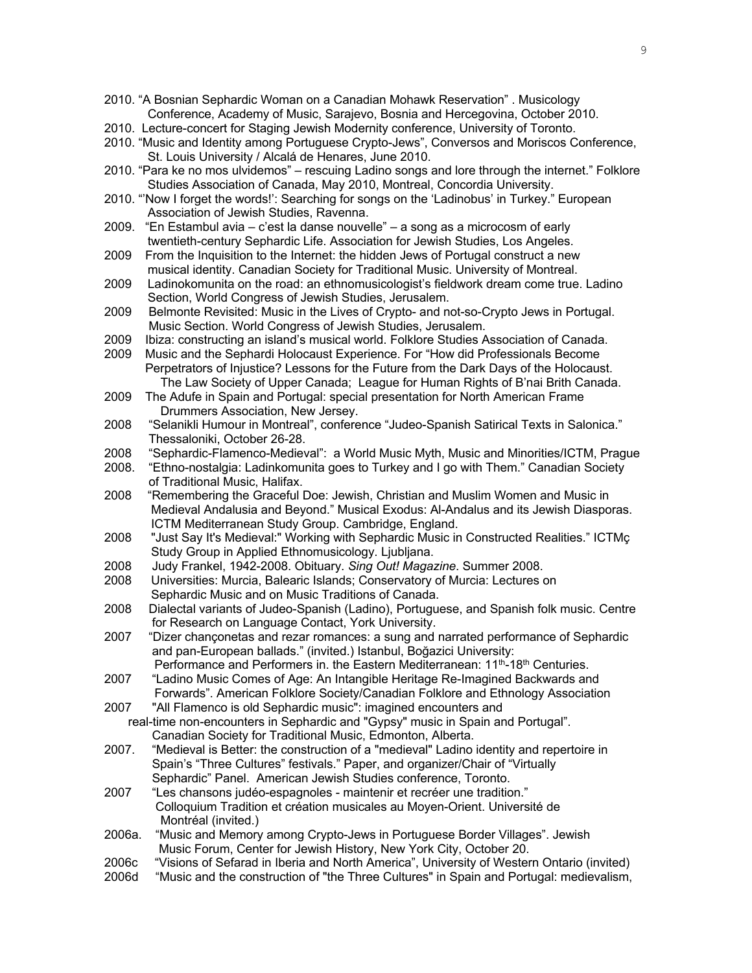- 2010. "A Bosnian Sephardic Woman on a Canadian Mohawk Reservation" . Musicology Conference, Academy of Music, Sarajevo, Bosnia and Hercegovina, October 2010.
- 2010. Lecture-concert for Staging Jewish Modernity conference, University of Toronto.
- 2010. "Music and Identity among Portuguese Crypto-Jews", Conversos and Moriscos Conference, St. Louis University / Alcalá de Henares, June 2010.
- 2010. "Para ke no mos ulvidemos" rescuing Ladino songs and lore through the internet." Folklore Studies Association of Canada, May 2010, Montreal, Concordia University.
- 2010. "'Now I forget the words!': Searching for songs on the 'Ladinobus' in Turkey." European Association of Jewish Studies, Ravenna.
- 2009. "En Estambul avia c'est la danse nouvelle" a song as a microcosm of early twentieth-century Sephardic Life. Association for Jewish Studies, Los Angeles.
- 2009 From the Inquisition to the Internet: the hidden Jews of Portugal construct a new musical identity. Canadian Society for Traditional Music. University of Montreal.
- 2009 Ladinokomunita on the road: an ethnomusicologist's fieldwork dream come true. Ladino Section, World Congress of Jewish Studies, Jerusalem.
- 2009 Belmonte Revisited: Music in the Lives of Crypto- and not-so-Crypto Jews in Portugal. Music Section. World Congress of Jewish Studies, Jerusalem.
- 2009 Ibiza: constructing an island's musical world. Folklore Studies Association of Canada.
- 2009 Music and the Sephardi Holocaust Experience. For "How did Professionals Become Perpetrators of Injustice? Lessons for the Future from the Dark Days of the Holocaust. The Law Society of Upper Canada; League for Human Rights of B'nai Brith Canada.
- 2009 The Adufe in Spain and Portugal: special presentation for North American Frame Drummers Association, New Jersey.
- 2008 "Selanikli Humour in Montreal", conference "Judeo-Spanish Satirical Texts in Salonica." Thessaloniki, October 26-28.
- 2008 "Sephardic-Flamenco-Medieval": a World Music Myth, Music and Minorities/ICTM, Prague
- 2008. "Ethno-nostalgia: Ladinkomunita goes to Turkey and I go with Them." Canadian Society of Traditional Music, Halifax.
- 2008 "Remembering the Graceful Doe: Jewish, Christian and Muslim Women and Music in Medieval Andalusia and Beyond." Musical Exodus: Al-Andalus and its Jewish Diasporas. ICTM Mediterranean Study Group. Cambridge, England.
- 2008 "Just Say It's Medieval:" Working with Sephardic Music in Constructed Realities." ICTMç Study Group in Applied Ethnomusicology. Ljubljana.
- 2008 Judy Frankel, 1942-2008. Obituary. *Sing Out! Magazine*. Summer 2008.
- 2008 Universities: Murcia, Balearic Islands; Conservatory of Murcia: Lectures on Sephardic Music and on Music Traditions of Canada.
- 2008 Dialectal variants of Judeo-Spanish (Ladino), Portuguese, and Spanish folk music. Centre for Research on Language Contact, York University.
- 2007 "Dizer chançonetas and rezar romances: a sung and narrated performance of Sephardic and pan-European ballads." (invited.) Istanbul, Boğazici University: Performance and Performers in. the Eastern Mediterranean: 11<sup>th</sup>-18<sup>th</sup> Centuries.
- 2007 "Ladino Music Comes of Age: An Intangible Heritage Re-Imagined Backwards and
- Forwards". American Folklore Society/Canadian Folklore and Ethnology Association 2007 "All Flamenco is old Sephardic music": imagined encounters and
- real-time non-encounters in Sephardic and "Gypsy" music in Spain and Portugal". Canadian Society for Traditional Music, Edmonton, Alberta.
- 2007. "Medieval is Better: the construction of a "medieval" Ladino identity and repertoire in Spain's "Three Cultures" festivals." Paper, and organizer/Chair of "Virtually Sephardic" Panel. American Jewish Studies conference, Toronto.
- 2007 "Les chansons judéo-espagnoles maintenir et recréer une tradition." Colloquium Tradition et création musicales au Moyen-Orient. Université de Montréal (invited.)
- 2006a. "Music and Memory among Crypto-Jews in Portuguese Border Villages". Jewish Music Forum, Center for Jewish History, New York City, October 20.
- 2006c "Visions of Sefarad in Iberia and North America", University of Western Ontario (invited)
- 2006d "Music and the construction of "the Three Cultures" in Spain and Portugal: medievalism,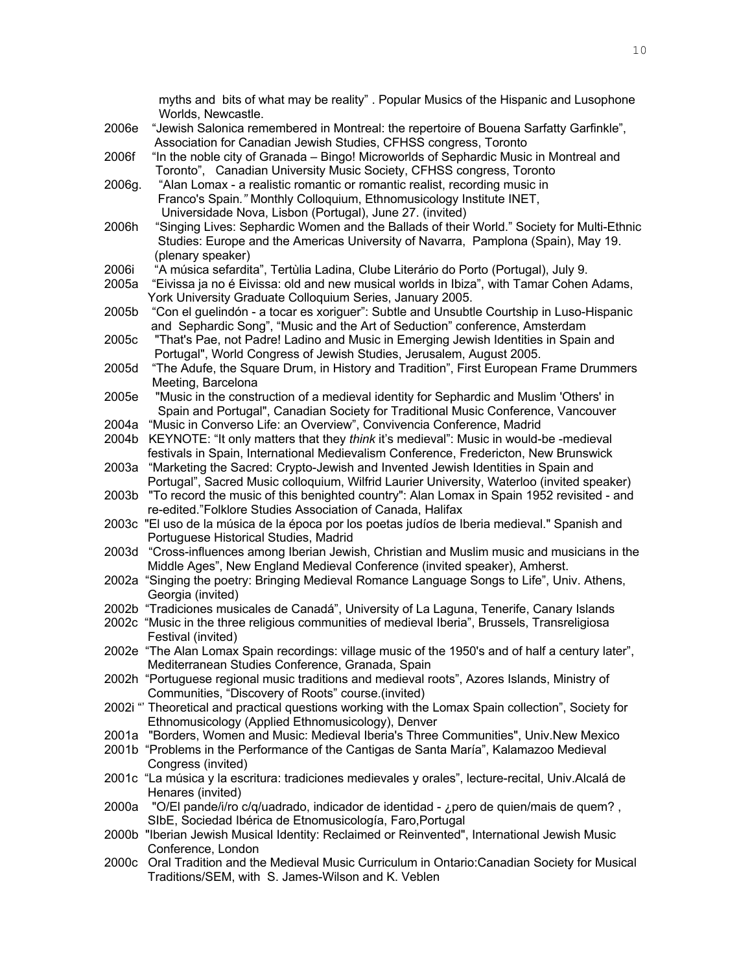|        | myths and bits of what may be reality". Popular Musics of the Hispanic and Lusophone<br>Worlds, Newcastle.                                                                                                                                            |
|--------|-------------------------------------------------------------------------------------------------------------------------------------------------------------------------------------------------------------------------------------------------------|
| 2006e  | "Jewish Salonica remembered in Montreal: the repertoire of Bouena Sarfatty Garfinkle",<br>Association for Canadian Jewish Studies, CFHSS congress, Toronto                                                                                            |
| 2006f  | "In the noble city of Granada - Bingo! Microworlds of Sephardic Music in Montreal and                                                                                                                                                                 |
| 2006g. | Toronto", Canadian University Music Society, CFHSS congress, Toronto<br>"Alan Lomax - a realistic romantic or romantic realist, recording music in                                                                                                    |
|        | Franco's Spain." Monthly Colloquium, Ethnomusicology Institute INET,<br>Universidade Nova, Lisbon (Portugal), June 27. (invited)                                                                                                                      |
| 2006h  | "Singing Lives: Sephardic Women and the Ballads of their World." Society for Multi-Ethnic<br>Studies: Europe and the Americas University of Navarra, Pamplona (Spain), May 19.<br>(plenary speaker)                                                   |
| 2006i  | "A música sefardita", Tertùlia Ladina, Clube Literário do Porto (Portugal), July 9.                                                                                                                                                                   |
| 2005a  | "Eivissa ja no é Eivissa: old and new musical worlds in Ibiza", with Tamar Cohen Adams,                                                                                                                                                               |
|        | York University Graduate Colloquium Series, January 2005.                                                                                                                                                                                             |
| 2005b  | "Con el guelindón - a tocar es xoriguer": Subtle and Unsubtle Courtship in Luso-Hispanic<br>and Sephardic Song", "Music and the Art of Seduction" conference, Amsterdam                                                                               |
| 2005c  | "That's Pae, not Padre! Ladino and Music in Emerging Jewish Identities in Spain and<br>Portugal", World Congress of Jewish Studies, Jerusalem, August 2005.                                                                                           |
| 2005d  | "The Adufe, the Square Drum, in History and Tradition", First European Frame Drummers<br>Meeting, Barcelona                                                                                                                                           |
| 2005e  | "Music in the construction of a medieval identity for Sephardic and Muslim 'Others' in                                                                                                                                                                |
|        | Spain and Portugal", Canadian Society for Traditional Music Conference, Vancouver                                                                                                                                                                     |
| 2004a  | "Music in Converso Life: an Overview", Convivencia Conference, Madrid                                                                                                                                                                                 |
| 2004b  | KEYNOTE: "It only matters that they think it's medieval": Music in would-be -medieval<br>festivals in Spain, International Medievalism Conference, Fredericton, New Brunswick                                                                         |
| 2003a  | "Marketing the Sacred: Crypto-Jewish and Invented Jewish Identities in Spain and                                                                                                                                                                      |
| 2003b  | Portugal", Sacred Music colloquium, Wilfrid Laurier University, Waterloo (invited speaker)<br>"To record the music of this benighted country": Alan Lomax in Spain 1952 revisited - and<br>re-edited."Folklore Studies Association of Canada, Halifax |
|        | 2003c "El uso de la música de la época por los poetas judíos de Iberia medieval." Spanish and<br>Portuguese Historical Studies, Madrid                                                                                                                |
| 2003d  | "Cross-influences among Iberian Jewish, Christian and Muslim music and musicians in the                                                                                                                                                               |
|        | Middle Ages", New England Medieval Conference (invited speaker), Amherst.                                                                                                                                                                             |
|        | 2002a "Singing the poetry: Bringing Medieval Romance Language Songs to Life", Univ. Athens,<br>Georgia (invited)                                                                                                                                      |
|        | 2002b "Tradiciones musicales de Canadá", University of La Laguna, Tenerife, Canary Islands                                                                                                                                                            |
|        | 2002c "Music in the three religious communities of medieval Iberia", Brussels, Transreligiosa<br>Festival (invited)                                                                                                                                   |
|        | 2002e "The Alan Lomax Spain recordings: village music of the 1950's and of half a century later",                                                                                                                                                     |
|        | Mediterranean Studies Conference, Granada, Spain                                                                                                                                                                                                      |
|        | 2002h "Portuguese regional music traditions and medieval roots", Azores Islands, Ministry of                                                                                                                                                          |
|        | Communities, "Discovery of Roots" course.(invited)<br>2002i " Theoretical and practical questions working with the Lomax Spain collection", Society for                                                                                               |
|        | Ethnomusicology (Applied Ethnomusicology), Denver                                                                                                                                                                                                     |
|        | 2001a "Borders, Women and Music: Medieval Iberia's Three Communities", Univ.New Mexico                                                                                                                                                                |
|        | 2001b "Problems in the Performance of the Cantigas de Santa María", Kalamazoo Medieval                                                                                                                                                                |
|        | Congress (invited)                                                                                                                                                                                                                                    |
|        | 2001c "La música y la escritura: tradiciones medievales y orales", lecture-recital, Univ.Alcalá de<br>Henares (invited)                                                                                                                               |
|        | 2000a "O/El pande/i/ro c/q/uadrado, indicador de identidad - ¿pero de quien/mais de quem?,<br>SIbE, Sociedad Ibérica de Etnomusicología, Faro, Portugal                                                                                               |
|        | 2000b "Iberian Jewish Musical Identity: Reclaimed or Reinvented", International Jewish Music                                                                                                                                                          |
|        | Conference, London                                                                                                                                                                                                                                    |
|        | 2000c Oral Tradition and the Medieval Music Curriculum in Ontario: Canadian Society for Musical<br>Traditions/SEM, with S. James-Wilson and K. Veblen                                                                                                 |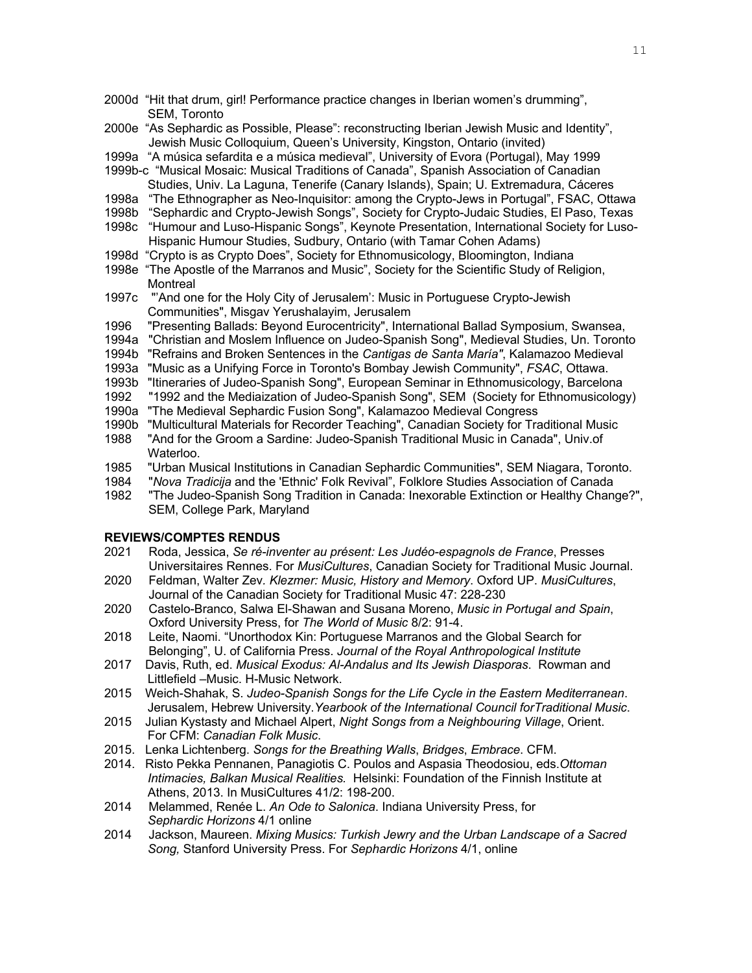- 2000d "Hit that drum, girl! Performance practice changes in Iberian women's drumming", SEM, Toronto
- 2000e "As Sephardic as Possible, Please": reconstructing Iberian Jewish Music and Identity", Jewish Music Colloquium, Queen's University, Kingston, Ontario (invited)
- 1999a "A música sefardita e a música medieval", University of Evora (Portugal), May 1999
- 1999b-c "Musical Mosaic: Musical Traditions of Canada", Spanish Association of Canadian Studies, Univ. La Laguna, Tenerife (Canary Islands), Spain; U. Extremadura, Cáceres
- 1998a "The Ethnographer as Neo-Inquisitor: among the Crypto-Jews in Portugal", FSAC, Ottawa
- 1998b "Sephardic and Crypto-Jewish Songs", Society for Crypto-Judaic Studies, El Paso, Texas
- 1998c "Humour and Luso-Hispanic Songs", Keynote Presentation, International Society for Luso-Hispanic Humour Studies, Sudbury, Ontario (with Tamar Cohen Adams)
- 1998d "Crypto is as Crypto Does", Society for Ethnomusicology, Bloomington, Indiana
- 1998e "The Apostle of the Marranos and Music", Society for the Scientific Study of Religion, **Montreal**
- 1997c "'And one for the Holy City of Jerusalem': Music in Portuguese Crypto-Jewish Communities", Misgav Yerushalayim, Jerusalem
- 1996 "Presenting Ballads: Beyond Eurocentricity", International Ballad Symposium, Swansea,
- 1994a "Christian and Moslem Influence on Judeo-Spanish Song", Medieval Studies, Un. Toronto
- 1994b "Refrains and Broken Sentences in the *Cantigas de Santa María"*, Kalamazoo Medieval
- 1993a "Music as a Unifying Force in Toronto's Bombay Jewish Community", *FSAC*, Ottawa.
- 1993b "Itineraries of Judeo-Spanish Song", European Seminar in Ethnomusicology, Barcelona
- 1992 "1992 and the Mediaization of Judeo-Spanish Song", SEM (Society for Ethnomusicology)
- 1990a "The Medieval Sephardic Fusion Song", Kalamazoo Medieval Congress
- 1990b "Multicultural Materials for Recorder Teaching", Canadian Society for Traditional Music
- 1988 "And for the Groom a Sardine: Judeo-Spanish Traditional Music in Canada", Univ.of Waterloo.
- 1985 "Urban Musical Institutions in Canadian Sephardic Communities", SEM Niagara, Toronto.
- 1984 "*Nova Tradicija* and the 'Ethnic' Folk Revival", Folklore Studies Association of Canada
- 1982 "The Judeo-Spanish Song Tradition in Canada: Inexorable Extinction or Healthy Change?", SEM, College Park, Maryland

### **REVIEWS/COMPTES RENDUS**

- 2021 Roda, Jessica, *Se ré-inventer au présent: Les Judéo-espagnols de France*, Presses Universitaires Rennes. For *MusiCultures*, Canadian Society for Traditional Music Journal.
- 2020 Feldman, Walter Zev*. Klezmer: Music, History and Memory*. Oxford UP. *MusiCultures*, Journal of the Canadian Society for Traditional Music 47: 228-230
- 2020 Castelo-Branco, Salwa El-Shawan and Susana Moreno, *Music in Portugal and Spain*, Oxford University Press, for *The World of Music* 8/2: 91-4.
- 2018 Leite, Naomi. "Unorthodox Kin: Portuguese Marranos and the Global Search for Belonging", U. of California Press. *Journal of the Royal Anthropological Institute*
- 2017 Davis, Ruth, ed. *Musical Exodus: Al-Andalus and Its Jewish Diasporas*. Rowman and Littlefield –Music. H-Music Network.
- 2015 Weich-Shahak, S. *Judeo-Spanish Songs for the Life Cycle in the Eastern Mediterranean*. Jerusalem, Hebrew University.*Yearbook of the International Council forTraditional Music*.
- 2015 Julian Kystasty and Michael Alpert, *Night Songs from a Neighbouring Village*, Orient. For CFM: *Canadian Folk Music*.
- 2015. Lenka Lichtenberg. *Songs for the Breathing Walls*, *Bridges*, *Embrace*. CFM.
- 2014. Risto Pekka Pennanen, Panagiotis C. Poulos and Aspasia Theodosiou, eds.*Ottoman Intimacies, Balkan Musical Realities.* Helsinki: Foundation of the Finnish Institute at Athens, 2013. In MusiCultures 41/2: 198-200.
- 2014 Melammed, Renée L. *An Ode to Salonica*. Indiana University Press, for *Sephardic Horizons* 4/1 online
- 2014 Jackson, Maureen. *Mixing Musics: Turkish Jewry and the Urban Landscape of a Sacred Song,* Stanford University Press. For *Sephardic Horizons* 4/1, online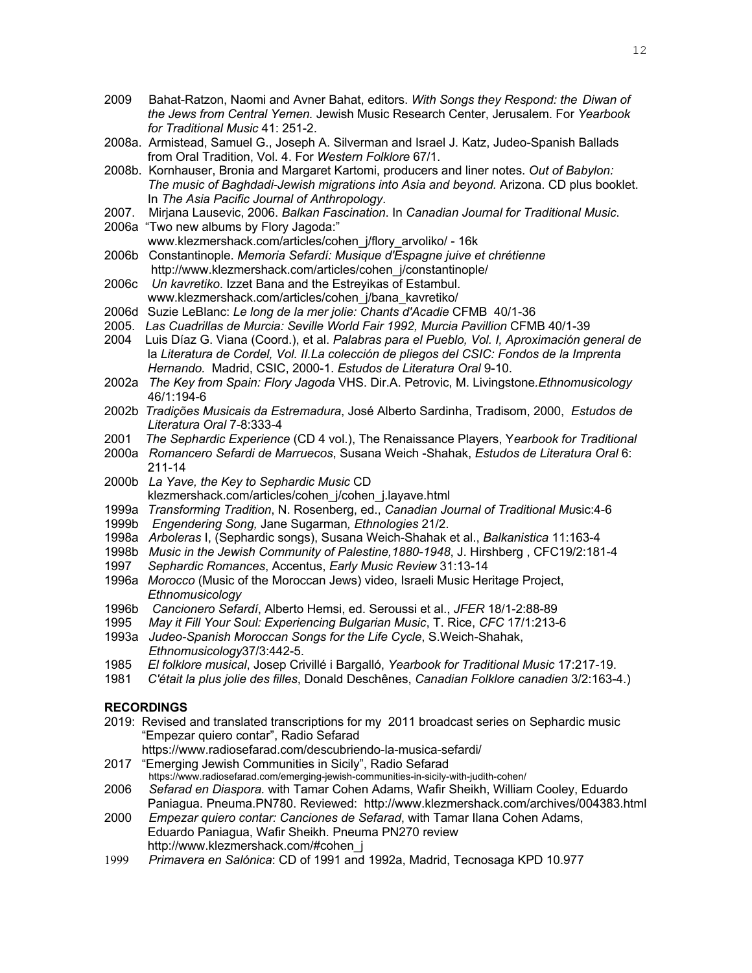- 2009 Bahat-Ratzon, Naomi and Avner Bahat, editors. *With Songs they Respond: the Diwan of the Jews from Central Yemen.* Jewish Music Research Center, Jerusalem. For *Yearbook for Traditional Music* 41: 251-2.
- 2008a. Armistead, Samuel G., Joseph A. Silverman and Israel J. Katz, Judeo-Spanish Ballads from Oral Tradition, Vol. 4. For *Western Folklore* 67/1.
- 2008b. Kornhauser, Bronia and Margaret Kartomi, producers and liner notes. *Out of Babylon: The music of Baghdadi-Jewish migrations into Asia and beyond.* Arizona. CD plus booklet. In *The Asia Pacific Journal of Anthropology*.
- 2007. Mirjana Lausevic, 2006. *Balkan Fascination*. In *Canadian Journal for Traditional Music*.
- 2006a "Two new albums by Flory Jagoda:"
	- www.klezmershack.com/articles/cohen\_j/flory\_arvoliko/ 16k
- 2006b Constantinople. *Memoria Sefardí: Musique d'Espagne juive et chrétienne* http://www.klezmershack.com/articles/cohen\_j/constantinople/
- 2006c *Un kavretiko*. Izzet Bana and the Estreyikas of Estambul. www.klezmershack.com/articles/cohen\_j/bana\_kavretiko/
- 2006d Suzie LeBlanc: *Le long de la mer jolie: Chants d'Acadie* CFMB 40/1-36
- 2005. *Las Cuadrillas de Murcia: Seville World Fair 1992, Murcia Pavillion* CFMB 40/1-39
- 2004 Luis Díaz G. Viana (Coord.), et al. *Palabras para el Pueblo, Vol. I, Aproximación general de* la *Literatura de Cordel, Vol. II.La colección de pliegos del CSIC: Fondos de la Imprenta Hernando.* Madrid, CSIC, 2000-1. *Estudos de Literatura Oral* 9-10.
- 2002a *The Key from Spain: Flory Jagoda* VHS. Dir.A. Petrovic, M. Livingstone*.Ethnomusicology*  46/1:194-6
- 2002b *Tradições Musicais da Estremadura*, José Alberto Sardinha, Tradisom, 2000, *Estudos de Literatura Oral* 7-8:333-4
- 2001 *The Sephardic Experience* (CD 4 vol.), The Renaissance Players, Y*earbook for Traditional*
- 2000a *Romancero Sefardi de Marruecos*, Susana Weich -Shahak, *Estudos de Literatura Oral* 6: 211-14
- 2000b *La Yave, the Key to Sephardic Music* CD klezmershack.com/articles/cohen\_j/cohen\_j.layave.html
- 1999a *Transforming Tradition*, N. Rosenberg, ed., *Canadian Journal of Traditional Mu*sic:4-6
- 1999b *Engendering Song,* Jane Sugarman*, Ethnologies* 21/2.
- 1998a *Arboleras* I, (Sephardic songs), Susana Weich-Shahak et al., *Balkanistica* 11:163-4
- 1998b *Music in the Jewish Community of Palestine,1880-1948*, J. Hirshberg , CFC19/2:181-4
- 1997 *Sephardic Romances*, Accentus, *Early Music Review* 31:13-14
- 1996a *Morocco* (Music of the Moroccan Jews) video, Israeli Music Heritage Project, *Ethnomusicology*
- 1996b *Cancionero Sefardí*, Alberto Hemsi, ed. Seroussi et al., *JFER* 18/1-2:88-89
- 1995 *May it Fill Your Soul: Experiencing Bulgarian Music*, T. Rice, *CFC* 17/1:213-6
- 1993a *Judeo-Spanish Moroccan Songs for the Life Cycle*, S.Weich-Shahak, *Ethnomusicology*37/3:442-5.
- 1985 *El folklore musical*, Josep Crivillé i Bargalló, *Yearbook for Traditional Music* 17:217-19.
- 1981 *C'était la plus jolie des filles*, Donald Deschênes, *Canadian Folklore canadien* 3/2:163-4.)

# **RECORDINGS**

- 2019: Revised and translated transcriptions for my 2011 broadcast series on Sephardic music "Empezar quiero contar", Radio Sefarad
- https://www.radiosefarad.com/descubriendo-la-musica-sefardi/<br>2017 "Emerging Jewish Communities in Sicily", Radio Sefarad

- https://www.radiosefarad.com/emerging-jewish-communities-in-sicily-with-judith-cohen/<br>2006 Sefarad en Diaspora. with Tamar Cohen Adams. Wafir Sheikh. William 2006 *Sefarad en Diaspora.* with Tamar Cohen Adams, Wafir Sheikh, William Cooley, Eduardo Paniagua. Pneuma.PN780. Reviewed: http://www.klezmershack.com/archives/004383.html
- 2000 *Empezar quiero contar: Canciones de Sefarad*, with Tamar Ilana Cohen Adams, Eduardo Paniagua, Wafir Sheikh. Pneuma PN270 review http://www.klezmershack.com/#cohen\_j
- 1999 *Primavera en Salónica*: CD of 1991 and 1992a, Madrid, Tecnosaga KPD 10.977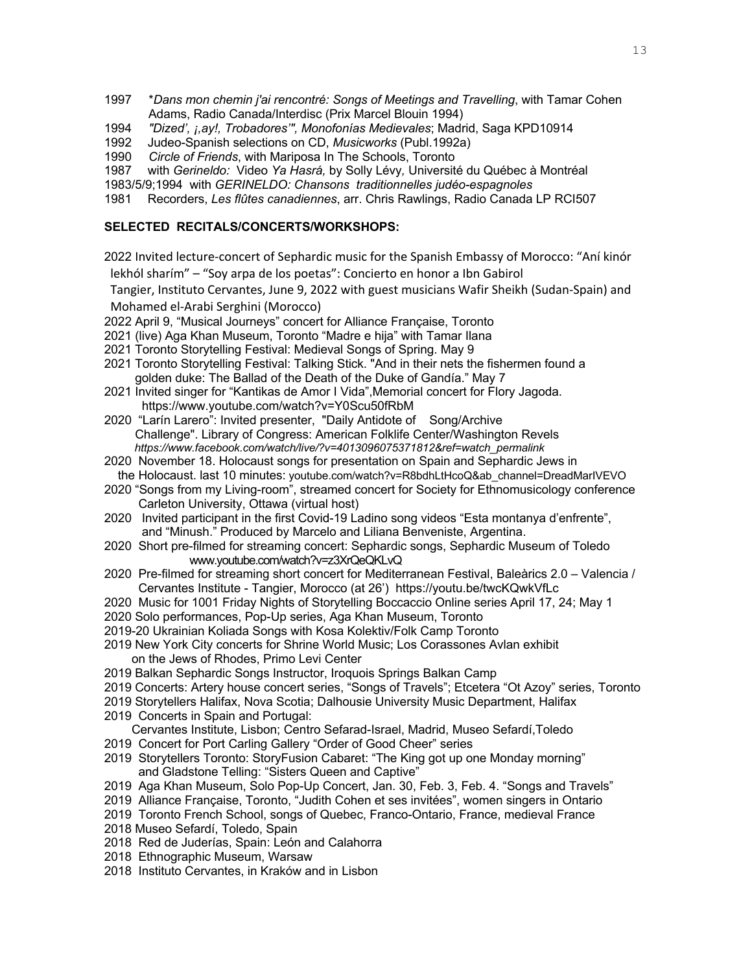- 1997 \**Dans mon chemin j'ai rencontré: Songs of Meetings and Travelling*, with Tamar Cohen Adams, Radio Canada/Interdisc (Prix Marcel Blouin 1994)
- 1994 *"Dized', ¡,ay!, Trobadores'", Monofonías Medievales*; Madrid, Saga KPD10914
- 1992 Judeo-Spanish selections on CD, *Musicworks* (Publ.1992a)
- 1990 *Circle of Friends*, with Mariposa In The Schools, Toronto
- 1987 with *Gerineldo:* Video *Ya Hasrá,* by Solly Lévy*,* Université du Québec à Montréal
- 1983/5/9;1994 with *GERINELDO: Chansons traditionnelles judéo-espagnoles*
- 1981 Recorders, *Les flûtes canadiennes*, arr. Chris Rawlings, Radio Canada LP RCI507

### **SELECTED RECITALS/CONCERTS/WORKSHOPS:**

2022 Invited lecture-concert of Sephardic music for the Spanish Embassy of Morocco: "Aní kinór lekhól sharím" – "Soy arpa de los poetas": Concierto en honor a Ibn Gabirol

 Tangier, Instituto Cervantes, June 9, 2022 with guest musicians Wafir Sheikh (Sudan-Spain) and Mohamed el-Arabi Serghini (Morocco)

- 2022 April 9, "Musical Journeys" concert for Alliance Française, Toronto
- 2021 (live) Aga Khan Museum, Toronto "Madre e hija" with Tamar Ilana
- 2021 Toronto Storytelling Festival: Medieval Songs of Spring. May 9
- 2021 Toronto Storytelling Festival: Talking Stick. "And in their nets the fishermen found a golden duke: The Ballad of the Death of the Duke of Gandía." May 7
- 2021 Invited singer for "Kantikas de Amor I Vida",Memorial concert for Flory Jagoda. https://www.youtube.com/watch?v=Y0Scu50fRbM
- 2020 "Larín Larero": Invited presenter, "Daily Antidote of Song/Archive Challenge". Library of Congress: American Folklife Center/Washington Revels *https://www.facebook.com/watch/live/?v=4013096075371812&ref=watch\_permalink*
- 2020 November 18. Holocaust songs for presentation on Spain and Sephardic Jews in
- the Holocaust. last 10 minutes: youtube.com/watch?v=R8bdhLtHcoQ&ab\_channel=DreadMarIVEVO
- 2020 "Songs from my Living-room", streamed concert for Society for Ethnomusicology conference Carleton University, Ottawa (virtual host)
- 2020 Invited participant in the first Covid-19 Ladino song videos "Esta montanya d'enfrente", and "Minush." Produced by Marcelo and Liliana Benveniste, Argentina.
- 2020 Short pre-filmed for streaming concert: Sephardic songs, Sephardic Museum of Toledo www.youtube.com/watch?v=z3XrQeQKLvQ
- 2020 Pre-filmed for streaming short concert for Mediterranean Festival, Baleàrics 2.0 Valencia / Cervantes Institute - Tangier, Morocco (at 26') https://youtu.be/twcKQwkVfLc
- 2020 Music for 1001 Friday Nights of Storytelling Boccaccio Online series April 17, 24; May 1
- 2020 Solo performances, Pop-Up series, Aga Khan Museum, Toronto
- 2019-20 Ukrainian Koliada Songs with Kosa Kolektiv/Folk Camp Toronto
- 2019 New York City concerts for Shrine World Music; Los Corassones Avlan exhibit on the Jews of Rhodes, Primo Levi Center
- 2019 Balkan Sephardic Songs Instructor, Iroquois Springs Balkan Camp
- 2019 Concerts: Artery house concert series, "Songs of Travels"; Etcetera "Ot Azoy" series, Toronto
- 2019 Storytellers Halifax, Nova Scotia; Dalhousie University Music Department, Halifax
- 2019 Concerts in Spain and Portugal:
- Cervantes Institute, Lisbon; Centro Sefarad-Israel, Madrid, Museo Sefardí,Toledo
- 2019 Concert for Port Carling Gallery "Order of Good Cheer" series
- 2019 Storytellers Toronto: StoryFusion Cabaret: "The King got up one Monday morning" and Gladstone Telling: "Sisters Queen and Captive"
- 2019 Aga Khan Museum, Solo Pop-Up Concert, Jan. 30, Feb. 3, Feb. 4. "Songs and Travels"
- 2019 Alliance Française, Toronto, "Judith Cohen et ses invitées", women singers in Ontario
- 2019 Toronto French School, songs of Quebec, Franco-Ontario, France, medieval France
- 2018 Museo Sefardí, Toledo, Spain
- 2018 Red de Juderías, Spain: León and Calahorra
- 2018 Ethnographic Museum, Warsaw
- 2018 Instituto Cervantes, in Kraków and in Lisbon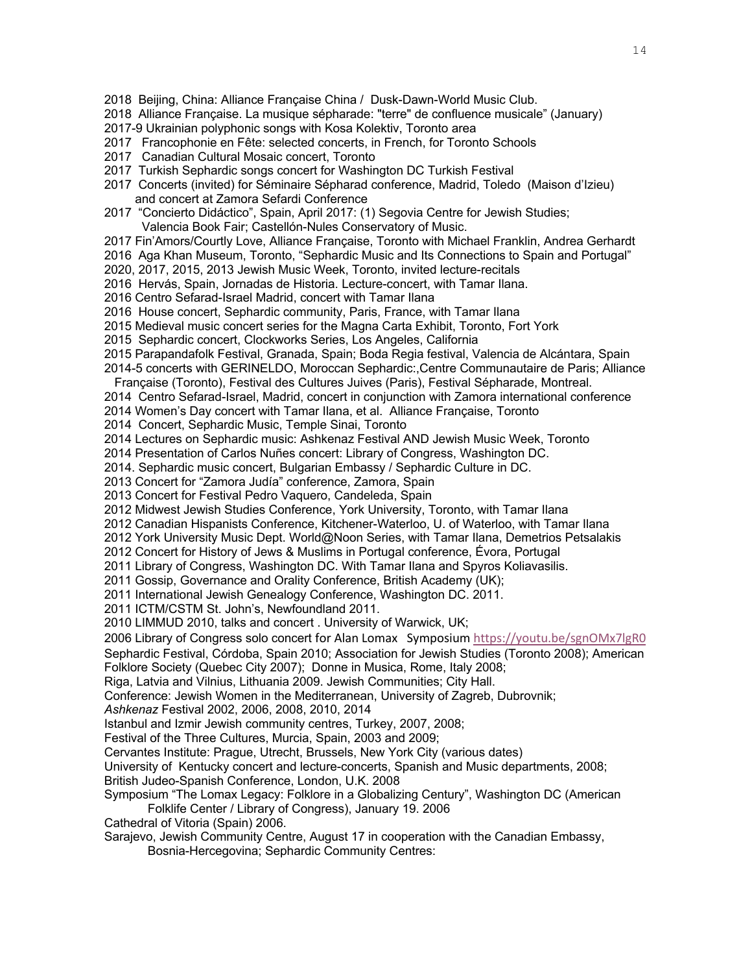- 2018 Beijing, China: Alliance Française China / Dusk-Dawn-World Music Club.
- 2018 Alliance Française. La musique sépharade: "terre" de confluence musicale" (January)
- 2017-9 Ukrainian polyphonic songs with Kosa Kolektiv, Toronto area
- 2017 Francophonie en Fête: selected concerts, in French, for Toronto Schools
- 2017 Canadian Cultural Mosaic concert, Toronto
- 2017 Turkish Sephardic songs concert for Washington DC Turkish Festival
- 2017 Concerts (invited) for Séminaire Sépharad conference, Madrid, Toledo (Maison d'Izieu) and concert at Zamora Sefardi Conference
- 2017 "Concierto Didáctico", Spain, April 2017: (1) Segovia Centre for Jewish Studies; Valencia Book Fair; Castellón-Nules Conservatory of Music.
- 2017 Fin'Amors/Courtly Love, Alliance Française, Toronto with Michael Franklin, Andrea Gerhardt
- 2016 Aga Khan Museum, Toronto, "Sephardic Music and Its Connections to Spain and Portugal"
- 2020, 2017, 2015, 2013 Jewish Music Week, Toronto, invited lecture-recitals
- 2016 Hervás, Spain, Jornadas de Historia. Lecture-concert, with Tamar Ilana.
- 2016 Centro Sefarad-Israel Madrid, concert with Tamar Ilana
- 2016 House concert, Sephardic community, Paris, France, with Tamar Ilana
- 2015 Medieval music concert series for the Magna Carta Exhibit, Toronto, Fort York
- 2015 Sephardic concert, Clockworks Series, Los Angeles, California
- 2015 Parapandafolk Festival, Granada, Spain; Boda Regia festival, Valencia de Alcántara, Spain
- 2014-5 concerts with GERINELDO, Moroccan Sephardic:,Centre Communautaire de Paris; Alliance
- Française (Toronto), Festival des Cultures Juives (Paris), Festival Sépharade, Montreal.
- 2014 Centro Sefarad-Israel, Madrid, concert in conjunction with Zamora international conference

2014 Women's Day concert with Tamar Ilana, et al. Alliance Française, Toronto

- 2014 Concert, Sephardic Music, Temple Sinai, Toronto
- 2014 Lectures on Sephardic music: Ashkenaz Festival AND Jewish Music Week, Toronto
- 2014 Presentation of Carlos Nuñes concert: Library of Congress, Washington DC.
- 2014. Sephardic music concert, Bulgarian Embassy / Sephardic Culture in DC.
- 2013 Concert for "Zamora Judía" conference, Zamora, Spain
- 2013 Concert for Festival Pedro Vaquero, Candeleda, Spain
- 2012 Midwest Jewish Studies Conference, York University, Toronto, with Tamar Ilana
- 2012 Canadian Hispanists Conference, Kitchener-Waterloo, U. of Waterloo, with Tamar Ilana
- 2012 York University Music Dept. World@Noon Series, with Tamar Ilana, Demetrios Petsalakis
- 2012 Concert for History of Jews & Muslims in Portugal conference, Évora, Portugal
- 2011 Library of Congress, Washington DC. With Tamar Ilana and Spyros Koliavasilis.
- 2011 Gossip, Governance and Orality Conference, British Academy (UK);
- 2011 International Jewish Genealogy Conference, Washington DC. 2011.
- 2011 ICTM/CSTM St. John's, Newfoundland 2011.
- 2010 LIMMUD 2010, talks and concert . University of Warwick, UK;
- 2006 Library of Congress solo concert for Alan Lomax Symposium https://youtu.be/sgnOMx7lgR0
- Sephardic Festival, Córdoba, Spain 2010; Association for Jewish Studies (Toronto 2008); American Folklore Society (Quebec City 2007); Donne in Musica, Rome, Italy 2008;
- Riga, Latvia and Vilnius, Lithuania 2009. Jewish Communities; City Hall.
- Conference: Jewish Women in the Mediterranean, University of Zagreb, Dubrovnik;
- *Ashkenaz* Festival 2002, 2006, 2008, 2010, 2014
- Istanbul and Izmir Jewish community centres, Turkey, 2007, 2008;
- Festival of the Three Cultures, Murcia, Spain, 2003 and 2009;
- Cervantes Institute: Prague, Utrecht, Brussels, New York City (various dates)
- University of Kentucky concert and lecture-concerts, Spanish and Music departments, 2008;
- British Judeo-Spanish Conference, London, U.K. 2008

# Symposium "The Lomax Legacy: Folklore in a Globalizing Century", Washington DC (American Folklife Center / Library of Congress), January 19. 2006

- Cathedral of Vitoria (Spain) 2006.
- Sarajevo, Jewish Community Centre, August 17 in cooperation with the Canadian Embassy,
	- Bosnia-Hercegovina; Sephardic Community Centres: